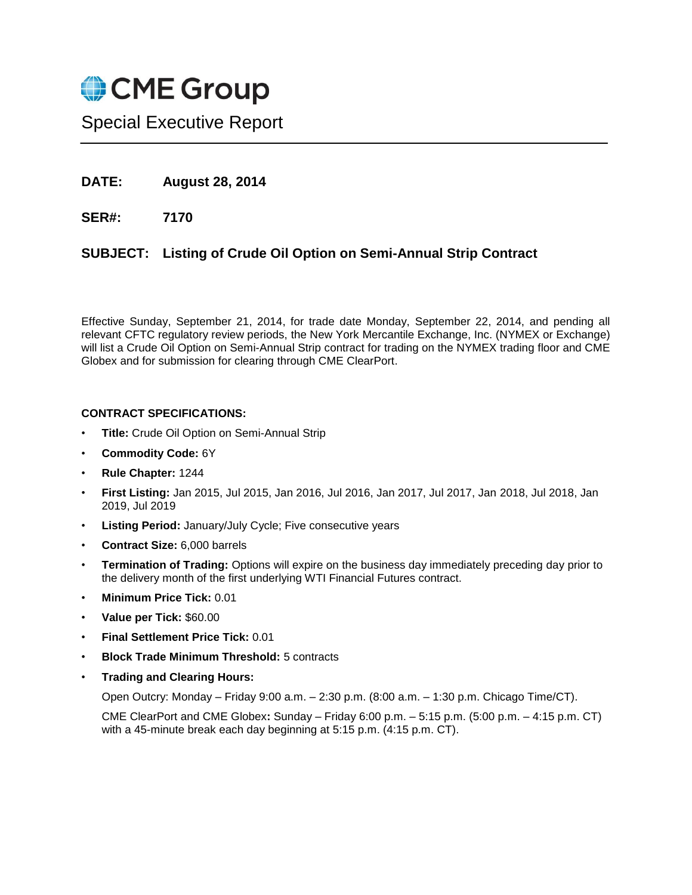

Special Executive Report

- **DATE: August 28, 2014**
- **SER#: 7170**

## **SUBJECT: Listing of Crude Oil Option on Semi-Annual Strip Contract**

Effective Sunday, September 21, 2014, for trade date Monday, September 22, 2014, and pending all relevant CFTC regulatory review periods, the New York Mercantile Exchange, Inc. (NYMEX or Exchange) will list a Crude Oil Option on Semi-Annual Strip contract for trading on the NYMEX trading floor and CME Globex and for submission for clearing through CME ClearPort.

## **CONTRACT SPECIFICATIONS:**

- **Title:** Crude Oil Option on Semi-Annual Strip
- **Commodity Code:** 6Y
- **Rule Chapter:** 1244
- **First Listing:** Jan 2015, Jul 2015, Jan 2016, Jul 2016, Jan 2017, Jul 2017, Jan 2018, Jul 2018, Jan 2019, Jul 2019
- **Listing Period:** January/July Cycle; Five consecutive years
- **Contract Size:** 6,000 barrels
- **Termination of Trading:** Options will expire on the business day immediately preceding day prior to the delivery month of the first underlying WTI Financial Futures contract.
- **Minimum Price Tick:** 0.01
- **Value per Tick:** \$60.00
- **Final Settlement Price Tick:** 0.01
- **Block Trade Minimum Threshold:** 5 contracts
- **Trading and Clearing Hours:**

Open Outcry: Monday – Friday 9:00 a.m. – 2:30 p.m. (8:00 a.m. – 1:30 p.m. Chicago Time/CT).

CME ClearPort and CME Globex**:** Sunday – Friday 6:00 p.m. – 5:15 p.m. (5:00 p.m. – 4:15 p.m. CT) with a 45-minute break each day beginning at 5:15 p.m. (4:15 p.m. CT).